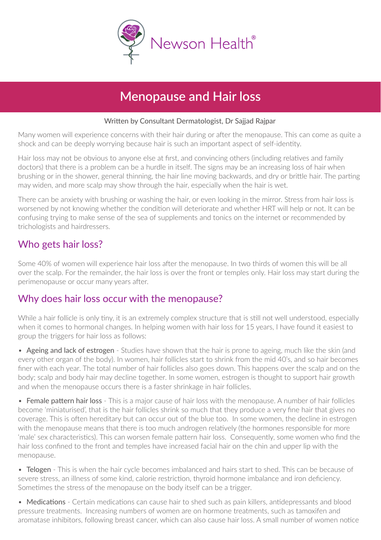

# **Menopause and Hair loss**

#### Written by Consultant Dermatologist, Dr Sajjad Rajpar

Many women will experience concerns with their hair during or after the menopause. This can come as quite a shock and can be deeply worrying because hair is such an important aspect of selfidentity.

Hair loss may not be obvious to anyone else at first, and convincing others (including relatives and family doctors) that there is a problem can be a hurdle in itself. The signs may be an increasing loss of hair when brushing or in the shower, general thinning, the hair line moving backwards, and dry or brittle hair. The parting may widen, and more scalp may show through the hair, especially when the hair is wet.

There can be anxiety with brushing or washing the hair, or even looking in the mirror. Stress from hair loss is worsened by not knowing whether the condition will deteriorate and whether HRT will help or not. It can be confusing trying to make sense of the sea of supplements and tonics on the internet or recommended by trichologists and hairdressers.

### Who gets hair loss?

Some 40% of women will experience hair loss after the menopause. In two thirds of women this will be all over the scalp. For the remainder, the hair loss is over the front or temples only. Hair loss may start during the perimenopause or occur many years after.

#### Why does hair loss occur with the menopause?

While a hair follicle is only tiny, it is an extremely complex structure that is still not well understood, especially when it comes to hormonal changes. In helping women with hair loss for 15 years, I have found it easiest to group the triggers for hair loss as follows:

• Ageing and lack of estrogen - Studies have shown that the hair is prone to ageing, much like the skin (and every other organ of the body). In women, hair follicles start to shrink from the mid 40's, and so hair becomes finer with each year. The total number of hair follicles also goes down. This happens over the scalp and on the body; scalp and body hair may decline together. In some women, estrogen is thought to support hair growth and when the menopause occurs there is a faster shrinkage in hair follicles.

• Female pattern hair loss - This is a major cause of hair loss with the menopause. A number of hair follicles become 'miniaturised', that is the hair follicles shrink so much that they produce a very fine hair that gives no coverage. This is often hereditary but can occur out of the blue too. In some women, the decline in estrogen with the menopause means that there is too much androgen relatively (the hormones responsible for more 'male' sex characteristics). This can worsen female pattern hair loss. Consequently, some women who find the hair loss confined to the front and temples have increased facial hair on the chin and upper lip with the menopause.

• Telogen - This is when the hair cycle becomes imbalanced and hairs start to shed. This can be because of severe stress, an illness of some kind, calorie restriction, thyroid hormone imbalance and iron deficiency. Sometimes the stress of the menopause on the body itself can be a trigger.

• Medications - Certain medications can cause hair to shed such as pain killers, antidepressants and blood pressure treatments. Increasing numbers of women are on hormone treatments, such as tamoxifen and aromatase inhibitors, following breast cancer, which can also cause hair loss. A small number of women notice